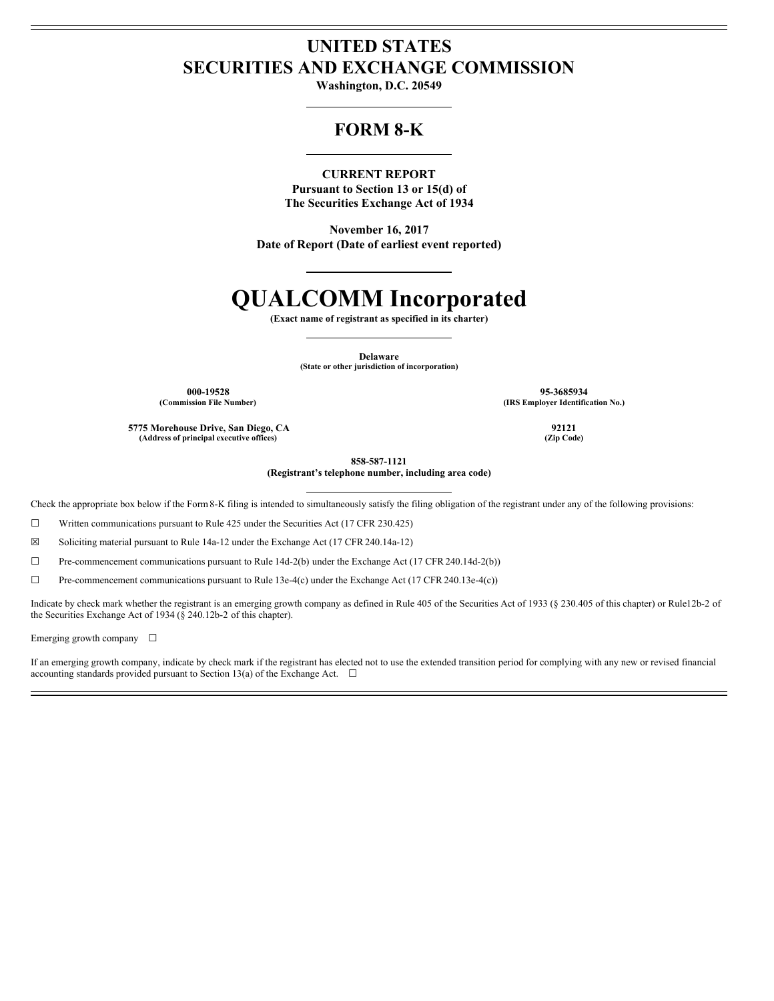# **UNITED STATES SECURITIES AND EXCHANGE COMMISSION**

**Washington, D.C. 20549**

# **FORM 8-K**

## **CURRENT REPORT**

**Pursuant to Section 13 or 15(d) of The Securities Exchange Act of 1934**

**November 16, 2017 Date of Report (Date of earliest event reported)**

# **QUALCOMM Incorporated**

**(Exact name of registrant as specified in its charter)**

**Delaware**

**(State or other jurisdiction of incorporation)**

**000-19528 95-3685934 (Commission File Number) (IRS Employer Identification No.)**

**5775 Morehouse Drive, San Diego, CA 92121 (Address of principal executive offices) (Zip Code)**

**858-587-1121**

**(Registrant's telephone number, including area code)**

Check the appropriate box below if the Form8-K filing is intended to simultaneously satisfy the filing obligation of the registrant under any of the following provisions:

 $\Box$  Written communications pursuant to Rule 425 under the Securities Act (17 CFR 230.425)

☒ Soliciting material pursuant to Rule 14a-12 under the Exchange Act (17 CFR 240.14a-12)

☐ Pre-commencement communications pursuant to Rule 14d-2(b) under the Exchange Act (17 CFR 240.14d-2(b))

 $\Box$  Pre-commencement communications pursuant to Rule 13e-4(c) under the Exchange Act (17 CFR 240.13e-4(c))

Indicate by check mark whether the registrant is an emerging growth company as defined in Rule 405 of the Securities Act of 1933 (§ 230.405 of this chapter) or Rule12b-2 of the Securities Exchange Act of 1934 (§ 240.12b-2 of this chapter).

Emerging growth company  $\Box$ 

If an emerging growth company, indicate by check mark if the registrant has elected not to use the extended transition period for complying with any new or revised financial accounting standards provided pursuant to Section 13(a) of the Exchange Act.  $\Box$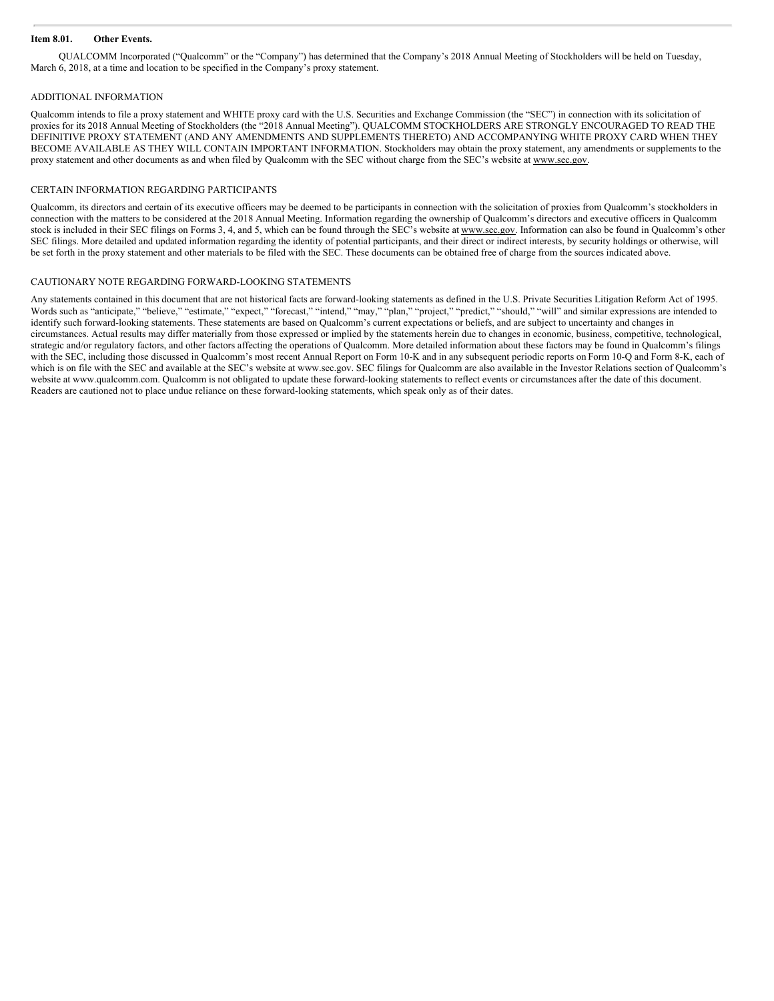#### **Item 8.01. Other Events.**

QUALCOMM Incorporated ("Qualcomm" or the "Company") has determined that the Company's 2018 Annual Meeting of Stockholders will be held on Tuesday, March 6, 2018, at a time and location to be specified in the Company's proxy statement.

#### ADDITIONAL INFORMATION

Qualcomm intends to file a proxy statement and WHITE proxy card with the U.S. Securities and Exchange Commission (the "SEC") in connection with its solicitation of proxies for its 2018 Annual Meeting of Stockholders (the "2018 Annual Meeting"). QUALCOMM STOCKHOLDERS ARE STRONGLY ENCOURAGED TO READ THE DEFINITIVE PROXY STATEMENT (AND ANY AMENDMENTS AND SUPPLEMENTS THERETO) AND ACCOMPANYING WHITE PROXY CARD WHEN THEY BECOME AVAILABLE AS THEY WILL CONTAIN IMPORTANT INFORMATION. Stockholders may obtain the proxy statement, any amendments or supplements to the proxy statement and other documents as and when filed by Qualcomm with the SEC without charge from the SEC's website at www.sec.gov.

#### CERTAIN INFORMATION REGARDING PARTICIPANTS

Qualcomm, its directors and certain of its executive officers may be deemed to be participants in connection with the solicitation of proxies from Qualcomm's stockholders in connection with the matters to be considered at the 2018 Annual Meeting. Information regarding the ownership of Qualcomm's directors and executive officers in Qualcomm stock is included in their SEC filings on Forms 3, 4, and 5, which can be found through the SEC's website at www.sec.gov. Information can also be found in Qualcomm's other SEC filings. More detailed and updated information regarding the identity of potential participants, and their direct or indirect interests, by security holdings or otherwise, will be set forth in the proxy statement and other materials to be filed with the SEC. These documents can be obtained free of charge from the sources indicated above.

#### CAUTIONARY NOTE REGARDING FORWARD-LOOKING STATEMENTS

Any statements contained in this document that are not historical facts are forward-looking statements as defined in the U.S. Private Securities Litigation Reform Act of 1995. Words such as "anticipate," "believe," "estimate," "expect," "forecast," "intend," "may," "plan," "project," "predict," "should," "will" and similar expressions are intended to identify such forward-looking statements. These statements are based on Qualcomm's current expectations or beliefs, and are subject to uncertainty and changes in circumstances. Actual results may differ materially from those expressed or implied by the statements herein due to changes in economic, business, competitive, technological, strategic and/or regulatory factors, and other factors affecting the operations of Qualcomm. More detailed information about these factors may be found in Qualcomm's filings with the SEC, including those discussed in Qualcomm's most recent Annual Report on Form 10-K and in any subsequent periodic reports on Form 10-Q and Form 8-K, each of which is on file with the SEC and available at the SEC's website at www.sec.gov. SEC filings for Qualcomm are also available in the Investor Relations section of Qualcomm's website at www.qualcomm.com. Qualcomm is not obligated to update these forward-looking statements to reflect events or circumstances after the date of this document. Readers are cautioned not to place undue reliance on these forward-looking statements, which speak only as of their dates.